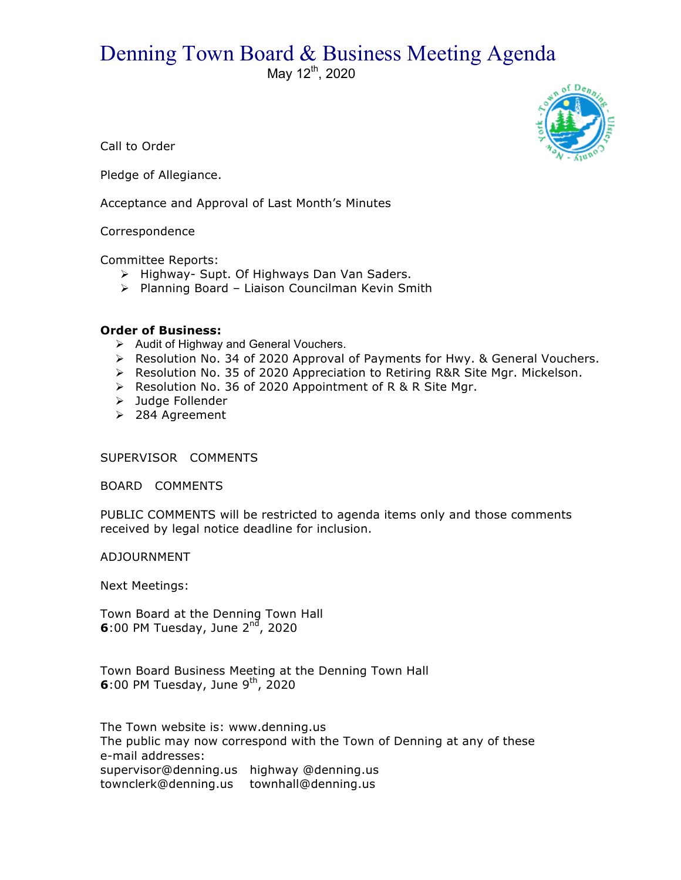## Denning Town Board & Business Meeting Agenda

May  $12^{th}$ , 2020



Call to Order

Pledge of Allegiance.

Acceptance and Approval of Last Month's Minutes

## Correspondence

Committee Reports:

- > Highway- Supt. Of Highways Dan Van Saders.
- > Planning Board Liaison Councilman Kevin Smith

## **Order of Business:**

- $\triangleright$  Audit of Highway and General Vouchers.
- $\triangleright$  Resolution No. 34 of 2020 Approval of Payments for Hwy. & General Vouchers.
- $\triangleright$  Resolution No. 35 of 2020 Appreciation to Retiring R&R Site Mgr. Mickelson.
- ▶ Resolution No. 36 of 2020 Appointment of R & R Site Mgr.
- > Judge Follender
- ▶ 284 Agreement

SUPERVISOR COMMENTS

BOARD COMMENTS

PUBLIC COMMENTS will be restricted to agenda items only and those comments received by legal notice deadline for inclusion.

ADJOURNMENT

Next Meetings:

Town Board at the Denning Town Hall **6**:00 PM Tuesday, June 2<sup>nd</sup>, 2020

Town Board Business Meeting at the Denning Town Hall **6**:00 PM Tuesday, June 9<sup>th</sup>, 2020

The Town website is: www.denning.us The public may now correspond with the Town of Denning at any of these e-mail addresses: supervisor@denning.us highway @denning.us townclerk@denning.us townhall@denning.us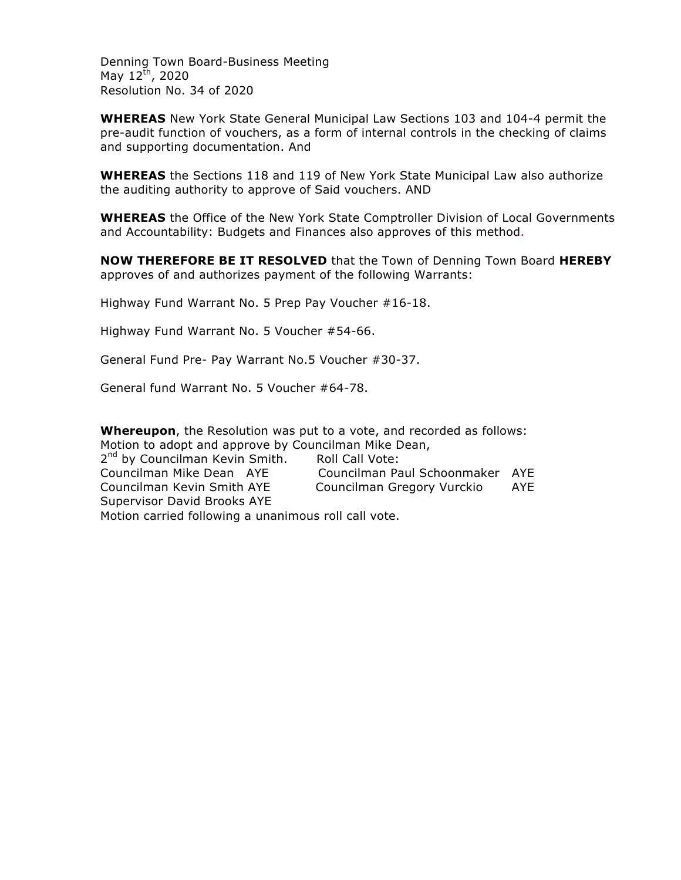Denning Town Board-Business Meeting May  $12^{th}$ , 2020 Resolution No. 34 of 2020

**WHEREAS** New York State General Municipal Law Sections 103 and 104-4 permit the pre-audit function of vouchers, as a form of internal controls in the checking of claims and supporting documentation. And

**WHEREAS** the Sections 118 and 119 of New York State Municipal Law also authorize the auditing authority to approve of Said vouchers. AND

**WHEREAS** the Office of the New York State Comptroller Division of Local Governments and Accountability: Budgets and Finances also approves of this method.

**NOW THEREFORE BE IT RESOLVED** that the Town of Denning Town Board **HEREBY** approves of and authorizes payment of the following Warrants:

Highway Fund Warrant No. 5 Prep Pay Voucher #16-18.

Highway Fund Warrant No. 5 Voucher #54-66.

General Fund Pre- Pay Warrant No.5 Voucher #30-37.

General fund Warrant No. 5 Voucher #64-78.

**Whereupon**, the Resolution was put to a vote, and recorded as follows: Motion to adopt and approve by Councilman Mike Dean, 2<sup>nd</sup> by Councilman Kevin Smith. Roll Call Vote: Councilman Mike Dean AYE Councilman Paul Schoonmaker AYE Councilman Kevin Smith AYE Councilman Gregory Vurckio AYE Supervisor David Brooks AYE Motion carried following a unanimous roll call vote.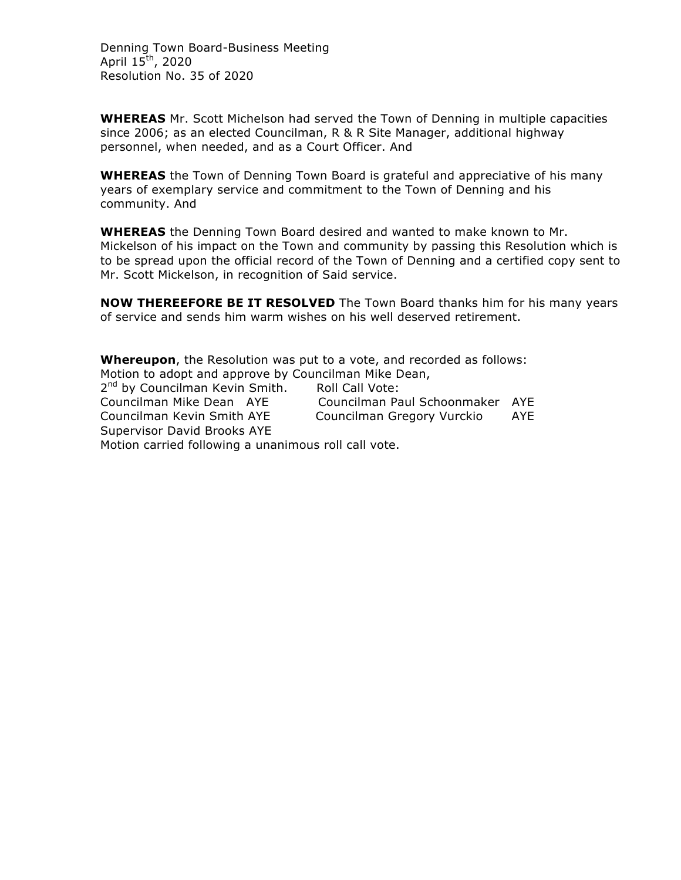Denning Town Board-Business Meeting April  $15^{\text{th}}$ , 2020 Resolution No. 35 of 2020

**WHEREAS** Mr. Scott Michelson had served the Town of Denning in multiple capacities since 2006; as an elected Councilman, R & R Site Manager, additional highway personnel, when needed, and as a Court Officer. And

**WHEREAS** the Town of Denning Town Board is grateful and appreciative of his many years of exemplary service and commitment to the Town of Denning and his community. And

**WHEREAS** the Denning Town Board desired and wanted to make known to Mr. Mickelson of his impact on the Town and community by passing this Resolution which is to be spread upon the official record of the Town of Denning and a certified copy sent to Mr. Scott Mickelson, in recognition of Said service.

**NOW THEREEFORE BE IT RESOLVED** The Town Board thanks him for his many years of service and sends him warm wishes on his well deserved retirement.

**Whereupon**, the Resolution was put to a vote, and recorded as follows: Motion to adopt and approve by Councilman Mike Dean, 2<sup>nd</sup> by Councilman Kevin Smith. Roll Call Vote: Councilman Mike Dean AYE Councilman Paul Schoonmaker AYE Councilman Kevin Smith AYE Councilman Gregory Vurckio AYE Supervisor David Brooks AYE Motion carried following a unanimous roll call vote.